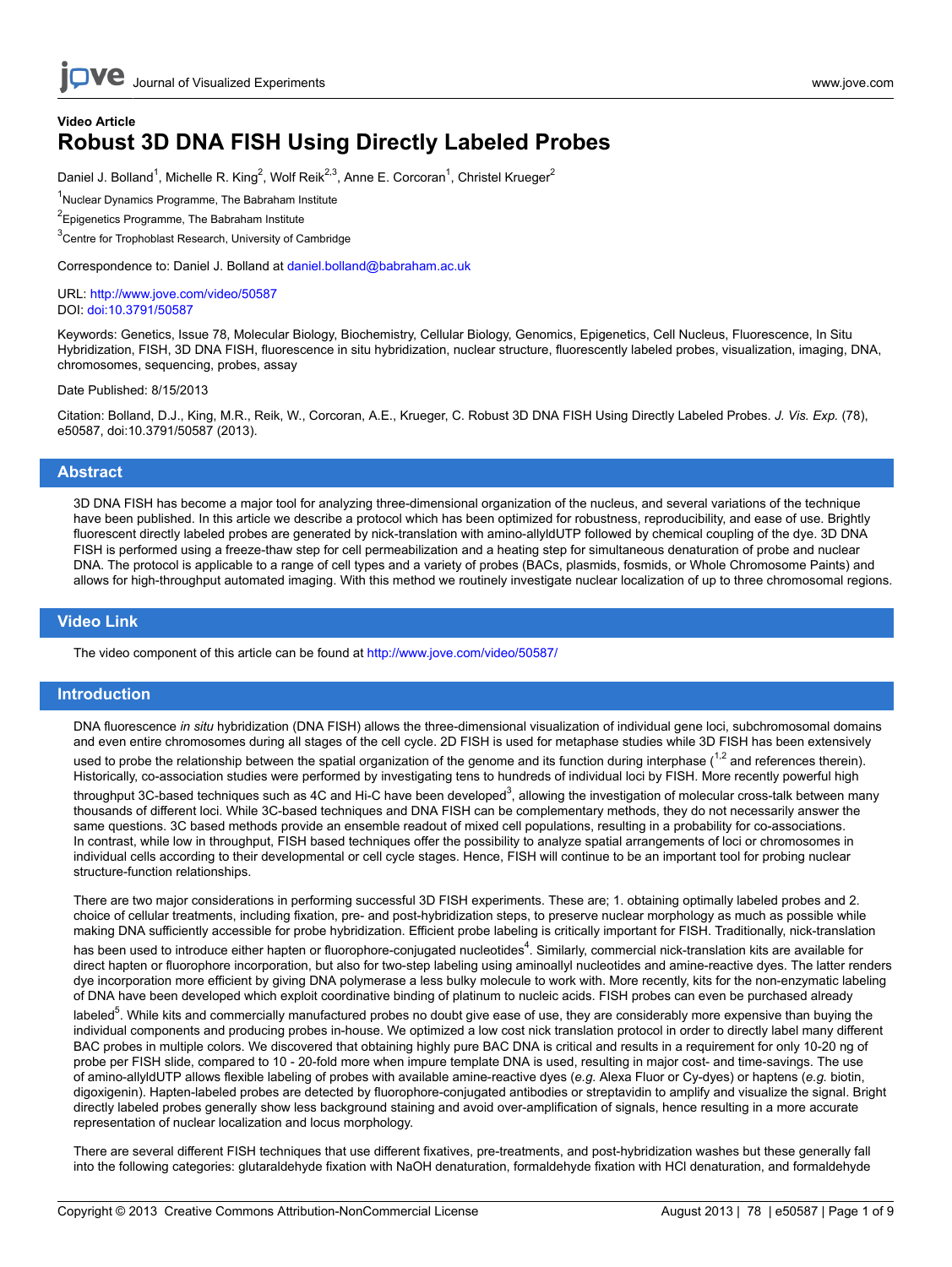# **Video Article Robust 3D DNA FISH Using Directly Labeled Probes**

Daniel J. Bolland<sup>1</sup>, Michelle R. King<sup>2</sup>, Wolf Reik<sup>2,3</sup>, Anne E. Corcoran<sup>1</sup>, Christel Krueger<sup>2</sup>

<sup>1</sup>Nuclear Dynamics Programme, The Babraham Institute

<sup>2</sup> Epigenetics Programme, The Babraham Institute

<sup>3</sup>Centre for Trophoblast Research, University of Cambridge

Correspondence to: Daniel J. Bolland at [daniel.bolland@babraham.ac.uk](mailto:daniel.bolland@babraham.ac.uk)

URL:<http://www.jove.com/video/50587> DOI: [doi:10.3791/50587](http://dx.doi.org/10.3791/50587)

Keywords: Genetics, Issue 78, Molecular Biology, Biochemistry, Cellular Biology, Genomics, Epigenetics, Cell Nucleus, Fluorescence, In Situ Hybridization, FISH, 3D DNA FISH, fluorescence in situ hybridization, nuclear structure, fluorescently labeled probes, visualization, imaging, DNA, chromosomes, sequencing, probes, assay

#### Date Published: 8/15/2013

Citation: Bolland, D.J., King, M.R., Reik, W., Corcoran, A.E., Krueger, C. Robust 3D DNA FISH Using Directly Labeled Probes. *J. Vis. Exp.* (78), e50587, doi:10.3791/50587 (2013).

### **Abstract**

3D DNA FISH has become a major tool for analyzing three-dimensional organization of the nucleus, and several variations of the technique have been published. In this article we describe a protocol which has been optimized for robustness, reproducibility, and ease of use. Brightly fluorescent directly labeled probes are generated by nick-translation with amino-allyldUTP followed by chemical coupling of the dye. 3D DNA FISH is performed using a freeze-thaw step for cell permeabilization and a heating step for simultaneous denaturation of probe and nuclear DNA. The protocol is applicable to a range of cell types and a variety of probes (BACs, plasmids, fosmids, or Whole Chromosome Paints) and allows for high-throughput automated imaging. With this method we routinely investigate nuclear localization of up to three chromosomal regions.

### **Video Link**

The video component of this article can be found at <http://www.jove.com/video/50587/>

## **Introduction**

DNA fluorescence *in situ* hybridization (DNA FISH) allows the three-dimensional visualization of individual gene loci, subchromosomal domains and even entire chromosomes during all stages of the cell cycle. 2D FISH is used for metaphase studies while 3D FISH has been extensively used to probe the relationship between the spatial organization of the genome and its function during interphase  $(1,2)$  and references therein). Historically, co-association studies were performed by investigating tens to hundreds of individual loci by FISH. More recently powerful high throughput 3C-based techniques such as 4C and Hi-C have been developed $^3$ , allowing the investigation of molecular cross-talk between many thousands of different loci. While 3C-based techniques and DNA FISH can be complementary methods, they do not necessarily answer the same questions. 3C based methods provide an ensemble readout of mixed cell populations, resulting in a probability for co-associations. In contrast, while low in throughput, FISH based techniques offer the possibility to analyze spatial arrangements of loci or chromosomes in individual cells according to their developmental or cell cycle stages. Hence, FISH will continue to be an important tool for probing nuclear structure-function relationships.

There are two major considerations in performing successful 3D FISH experiments. These are; 1. obtaining optimally labeled probes and 2. choice of cellular treatments, including fixation, pre- and post-hybridization steps, to preserve nuclear morphology as much as possible while making DNA sufficiently accessible for probe hybridization. Efficient probe labeling is critically important for FISH. Traditionally, nick-translation has been used to introduce either hapten or fluorophore-conjugated nucleotides<sup>4</sup>. Similarly, commercial nick-translation kits are available for direct hapten or fluorophore incorporation, but also for two-step labeling using aminoallyl nucleotides and amine-reactive dyes. The latter renders dye incorporation more efficient by giving DNA polymerase a less bulky molecule to work with. More recently, kits for the non-enzymatic labeling of DNA have been developed which exploit coordinative binding of platinum to nucleic acids. FISH probes can even be purchased already

labeled<sup>5</sup>. While kits and commercially manufactured probes no doubt give ease of use, they are considerably more expensive than buying the individual components and producing probes in-house. We optimized a low cost nick translation protocol in order to directly label many different BAC probes in multiple colors. We discovered that obtaining highly pure BAC DNA is critical and results in a requirement for only 10-20 ng of probe per FISH slide, compared to 10 - 20-fold more when impure template DNA is used, resulting in major cost- and time-savings. The use of amino-allyldUTP allows flexible labeling of probes with available amine-reactive dyes (*e.g.* Alexa Fluor or Cy-dyes) or haptens (*e.g.* biotin, digoxigenin). Hapten-labeled probes are detected by fluorophore-conjugated antibodies or streptavidin to amplify and visualize the signal. Bright directly labeled probes generally show less background staining and avoid over-amplification of signals, hence resulting in a more accurate representation of nuclear localization and locus morphology.

There are several different FISH techniques that use different fixatives, pre-treatments, and post-hybridization washes but these generally fall into the following categories: glutaraldehyde fixation with NaOH denaturation, formaldehyde fixation with HCl denaturation, and formaldehyde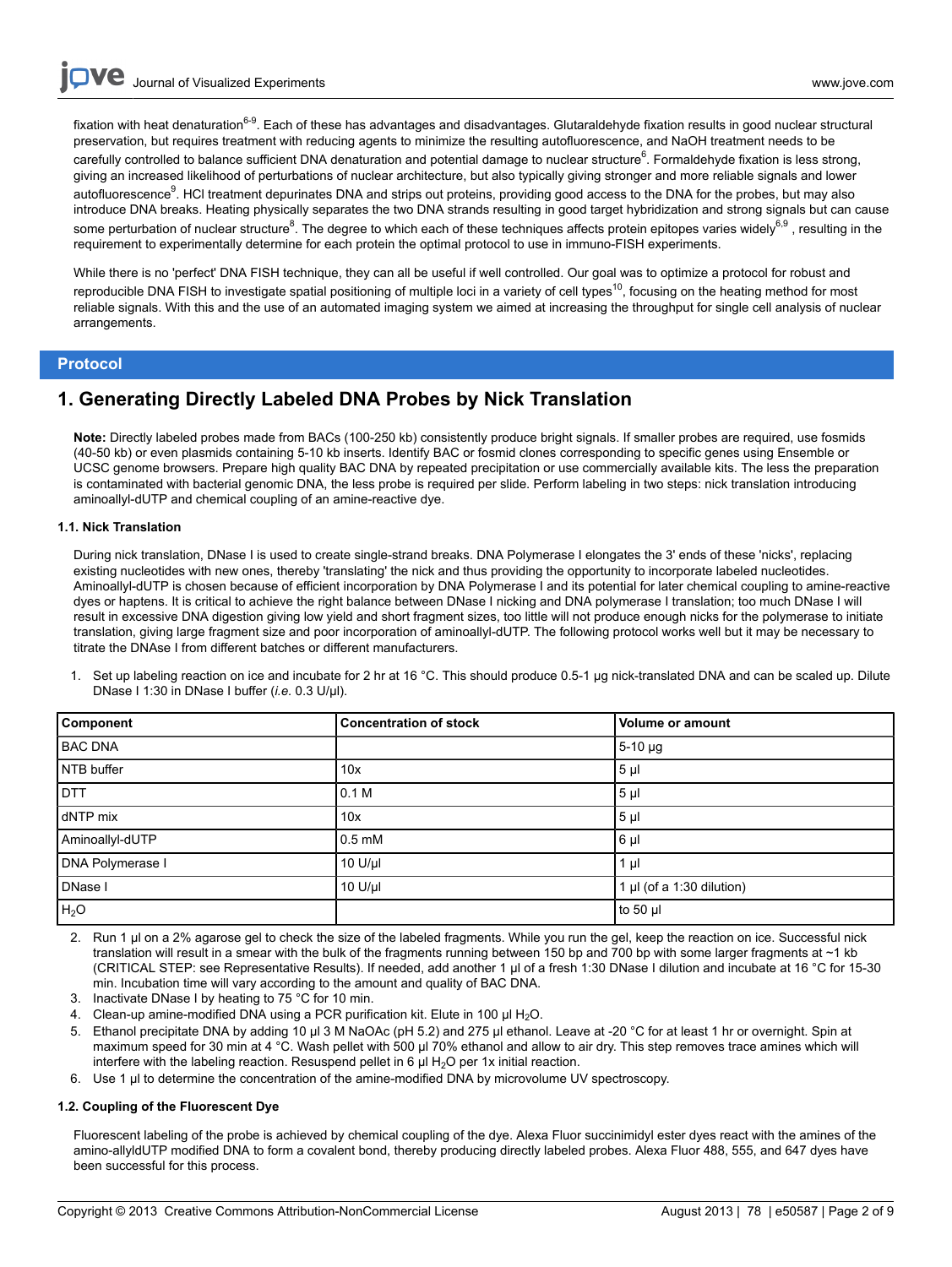fixation with heat denaturation<sup>6-9</sup>. Each of these has advantages and disadvantages. Glutaraldehyde fixation results in good nuclear structural preservation, but requires treatment with reducing agents to minimize the resulting autofluorescence, and NaOH treatment needs to be carefully controlled to balance sufficient DNA denaturation and potential damage to nuclear structure 6 . Formaldehyde fixation is less strong, giving an increased likelihood of perturbations of nuclear architecture, but also typically giving stronger and more reliable signals and lower autofluorescence<sup>9</sup>. HCl treatment depurinates DNA and strips out proteins, providing good access to the DNA for the probes, but may also introduce DNA breaks. Heating physically separates the two DNA strands resulting in good target hybridization and strong signals but can cause some perturbation of nuclear structure<sup>8</sup>. The degree to which each of these techniques affects protein epitopes varies widely<sup>6,9</sup> , resulting in the requirement to experimentally determine for each protein the optimal protocol to use in immuno-FISH experiments.

While there is no 'perfect' DNA FISH technique, they can all be useful if well controlled. Our goal was to optimize a protocol for robust and reproducible DNA FISH to investigate spatial positioning of multiple loci in a variety of cell types<sup>10</sup>, focusing on the heating method for most reliable signals. With this and the use of an automated imaging system we aimed at increasing the throughput for single cell analysis of nuclear arrangements.

# **Protocol**

# **1. Generating Directly Labeled DNA Probes by Nick Translation**

**Note:** Directly labeled probes made from BACs (100-250 kb) consistently produce bright signals. If smaller probes are required, use fosmids (40-50 kb) or even plasmids containing 5-10 kb inserts. Identify BAC or fosmid clones corresponding to specific genes using Ensemble or UCSC genome browsers. Prepare high quality BAC DNA by repeated precipitation or use commercially available kits. The less the preparation is contaminated with bacterial genomic DNA, the less probe is required per slide. Perform labeling in two steps: nick translation introducing aminoallyl-dUTP and chemical coupling of an amine-reactive dye.

### **1.1. Nick Translation**

During nick translation, DNase I is used to create single-strand breaks. DNA Polymerase I elongates the 3' ends of these 'nicks', replacing existing nucleotides with new ones, thereby 'translating' the nick and thus providing the opportunity to incorporate labeled nucleotides. Aminoallyl-dUTP is chosen because of efficient incorporation by DNA Polymerase I and its potential for later chemical coupling to amine-reactive dyes or haptens. It is critical to achieve the right balance between DNase I nicking and DNA polymerase I translation; too much DNase I will result in excessive DNA digestion giving low yield and short fragment sizes, too little will not produce enough nicks for the polymerase to initiate translation, giving large fragment size and poor incorporation of aminoallyl-dUTP. The following protocol works well but it may be necessary to titrate the DNAse I from different batches or different manufacturers.

1. Set up labeling reaction on ice and incubate for 2 hr at 16 °C. This should produce 0.5-1 μg nick-translated DNA and can be scaled up. Dilute DNase I 1:30 in DNase I buffer (*i.e.* 0.3 U/μl).

| Component               | <b>Concentration of stock</b> | Volume or amount          |  |
|-------------------------|-------------------------------|---------------------------|--|
| <b>BAC DNA</b>          |                               | 5-10 µg                   |  |
| NTB buffer              | 10x                           | $5 \mu$                   |  |
| <b>DTT</b>              | 0.1 <sub>M</sub>              | 15 µl                     |  |
| dNTP mix                | 10x                           | $ 5 \mu $                 |  |
| Aminoallyl-dUTP         | 0.5 mM                        | $6 \mu$                   |  |
| <b>DNA Polymerase I</b> | $10 U/\mu$                    | $1 \mu$                   |  |
| DNase I                 | $10 U/\mu$                    | 1 µl (of a 1:30 dilution) |  |
| $H_2O$                  |                               | to 50 $\mu$ I             |  |

2. Run 1 μl on a 2% agarose gel to check the size of the labeled fragments. While you run the gel, keep the reaction on ice. Successful nick translation will result in a smear with the bulk of the fragments running between 150 bp and 700 bp with some larger fragments at ~1 kb (CRITICAL STEP: see Representative Results). If needed, add another 1 μl of a fresh 1:30 DNase I dilution and incubate at 16 °C for 15-30 min. Incubation time will vary according to the amount and quality of BAC DNA.

- 3. Inactivate DNase I by heating to 75 °C for 10 min.
- 4. Clean-up amine-modified DNA using a PCR purification kit. Elute in 100 μl H<sub>2</sub>O.<br>5. Ethanol precipitate DNA by adding 10 μl 3 M NaOAc (pH 5.2) and 275 μl ethano
- 5. Ethanol precipitate DNA by adding 10 μl 3 M NaOAc (pH 5.2) and 275 μl ethanol. Leave at -20 °C for at least 1 hr or overnight. Spin at maximum speed for 30 min at 4 °C. Wash pellet with 500 μl 70% ethanol and allow to air dry. This step removes trace amines which will interfere with the labeling reaction. Resuspend pellet in 6  $\mu$ l H<sub>2</sub>O per 1x initial reaction.
- 6. Use 1 μl to determine the concentration of the amine-modified DNA by microvolume UV spectroscopy.

### **1.2. Coupling of the Fluorescent Dye**

Fluorescent labeling of the probe is achieved by chemical coupling of the dye. Alexa Fluor succinimidyl ester dyes react with the amines of the amino-allyldUTP modified DNA to form a covalent bond, thereby producing directly labeled probes. Alexa Fluor 488, 555, and 647 dyes have been successful for this process.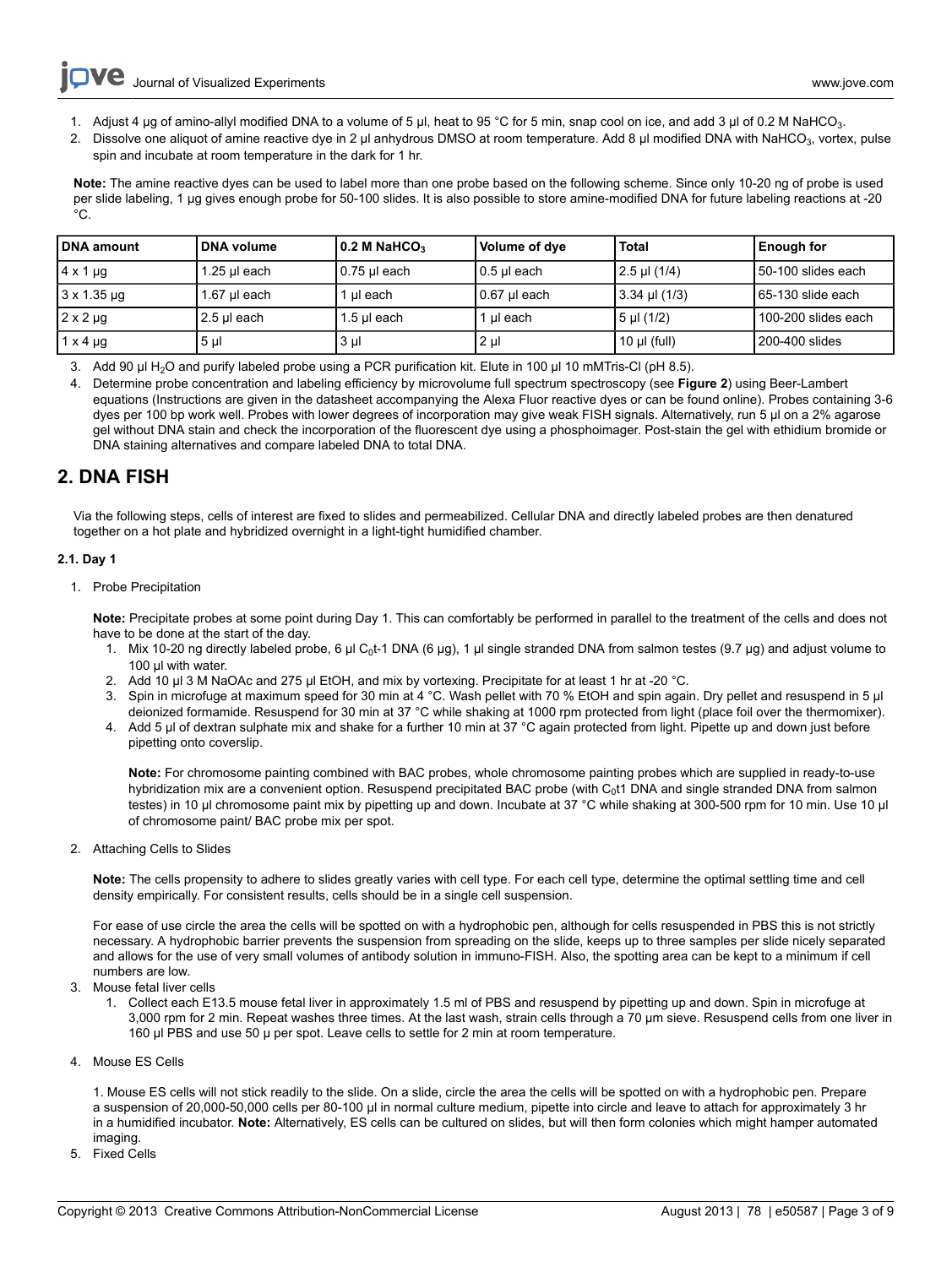- 1. Adjust 4 μg of amino-allyl modified DNA to a volume of 5 μl, heat to 95 °C for 5 min, snap cool on ice, and add 3 μl of 0.2 M NaHCO<sub>3</sub>.
- 2. Dissolve one aliquot of amine reactive dye in 2 μl anhydrous DMSO at room temperature. Add 8 μl modified DNA with NaHCO<sub>3</sub>, vortex, pulse spin and incubate at room temperature in the dark for 1 hr.

**Note:** The amine reactive dyes can be used to label more than one probe based on the following scheme. Since only 10-20 ng of probe is used per slide labeling, 1 μg gives enough probe for 50-100 slides. It is also possible to store amine-modified DNA for future labeling reactions at -20 °C.

| DNA amount         | <b>DNA volume</b> | $0.2$ M NaHCO <sub>3</sub> | Volume of dye | Total         | <b>Enough for</b>    |
|--------------------|-------------------|----------------------------|---------------|---------------|----------------------|
| $4 \times 1$ µg    | 1.25 µl each      | 10.75 ul each              | 10.5 µl each  | 2.5 µl (1/4)  | l 50-100 slides each |
| $3 \times 1.35$ µg | 1.67 µl each      | I ul each.                 | 0.67 ul each  | 3.34 µl (1/3) | 165-130 slide each   |
| $2 \times 2 \mu$ g | 2.5 µl each       | 1.5 µl each                | ul each       | 5 µl (1/2)    | 100-200 slides each  |
| $1 \times 4 \mu$ g | 5 <sub>µl</sub>   | 3 µl                       | $2 \mu$       | 10 µl (full)  | 200-400 slides       |

3. Add 90 μl H2O and purify labeled probe using a PCR purification kit. Elute in 100 μl 10 mMTris-Cl (pH 8.5).

4. Determine probe concentration and labeling efficiency by microvolume full spectrum spectroscopy (see **Figure 2**) using Beer-Lambert equations (Instructions are given in the datasheet accompanying the Alexa Fluor reactive dyes or can be found online). Probes containing 3-6 dyes per 100 bp work well. Probes with lower degrees of incorporation may give weak FISH signals. Alternatively, run 5 μl on a 2% agarose gel without DNA stain and check the incorporation of the fluorescent dye using a phosphoimager. Post-stain the gel with ethidium bromide or DNA staining alternatives and compare labeled DNA to total DNA.

# **2. DNA FISH**

Via the following steps, cells of interest are fixed to slides and permeabilized. Cellular DNA and directly labeled probes are then denatured together on a hot plate and hybridized overnight in a light-tight humidified chamber.

# **2.1. Day 1**

1. Probe Precipitation

**Note:** Precipitate probes at some point during Day 1. This can comfortably be performed in parallel to the treatment of the cells and does not have to be done at the start of the day.

- 1. Mix 10-20 ng directly labeled probe, 6 μl C<sub>0</sub>t-1 DNA (6 μg), 1 μl single stranded DNA from salmon testes (9.7 μg) and adjust volume to 100 μl with water.
- 2. Add 10 μl 3 M NaOAc and 275 μl EtOH, and mix by vortexing. Precipitate for at least 1 hr at -20 °C.
- 3. Spin in microfuge at maximum speed for 30 min at 4 °C. Wash pellet with 70 % EtOH and spin again. Dry pellet and resuspend in 5 μl deionized formamide. Resuspend for 30 min at 37 °C while shaking at 1000 rpm protected from light (place foil over the thermomixer).
- 4. Add 5 μl of dextran sulphate mix and shake for a further 10 min at 37 °C again protected from light. Pipette up and down just before pipetting onto coverslip.

**Note:** For chromosome painting combined with BAC probes, whole chromosome painting probes which are supplied in ready-to-use hybridization mix are a convenient option. Resuspend precipitated BAC probe (with C<sub>0</sub>t1 DNA and single stranded DNA from salmon testes) in 10 μl chromosome paint mix by pipetting up and down. Incubate at 37 °C while shaking at 300-500 rpm for 10 min. Use 10 μl of chromosome paint/ BAC probe mix per spot.

2. Attaching Cells to Slides

**Note:** The cells propensity to adhere to slides greatly varies with cell type. For each cell type, determine the optimal settling time and cell density empirically. For consistent results, cells should be in a single cell suspension.

For ease of use circle the area the cells will be spotted on with a hydrophobic pen, although for cells resuspended in PBS this is not strictly necessary. A hydrophobic barrier prevents the suspension from spreading on the slide, keeps up to three samples per slide nicely separated and allows for the use of very small volumes of antibody solution in immuno-FISH. Also, the spotting area can be kept to a minimum if cell numbers are low.

- 3. Mouse fetal liver cells
	- 1. Collect each E13.5 mouse fetal liver in approximately 1.5 ml of PBS and resuspend by pipetting up and down. Spin in microfuge at 3,000 rpm for 2 min. Repeat washes three times. At the last wash, strain cells through a 70 μm sieve. Resuspend cells from one liver in 160 μl PBS and use 50 μ per spot. Leave cells to settle for 2 min at room temperature.
- 4. Mouse ES Cells

1. Mouse ES cells will not stick readily to the slide. On a slide, circle the area the cells will be spotted on with a hydrophobic pen. Prepare a suspension of 20,000-50,000 cells per 80-100 μl in normal culture medium, pipette into circle and leave to attach for approximately 3 hr in a humidified incubator. **Note:** Alternatively, ES cells can be cultured on slides, but will then form colonies which might hamper automated imaging.

5. Fixed Cells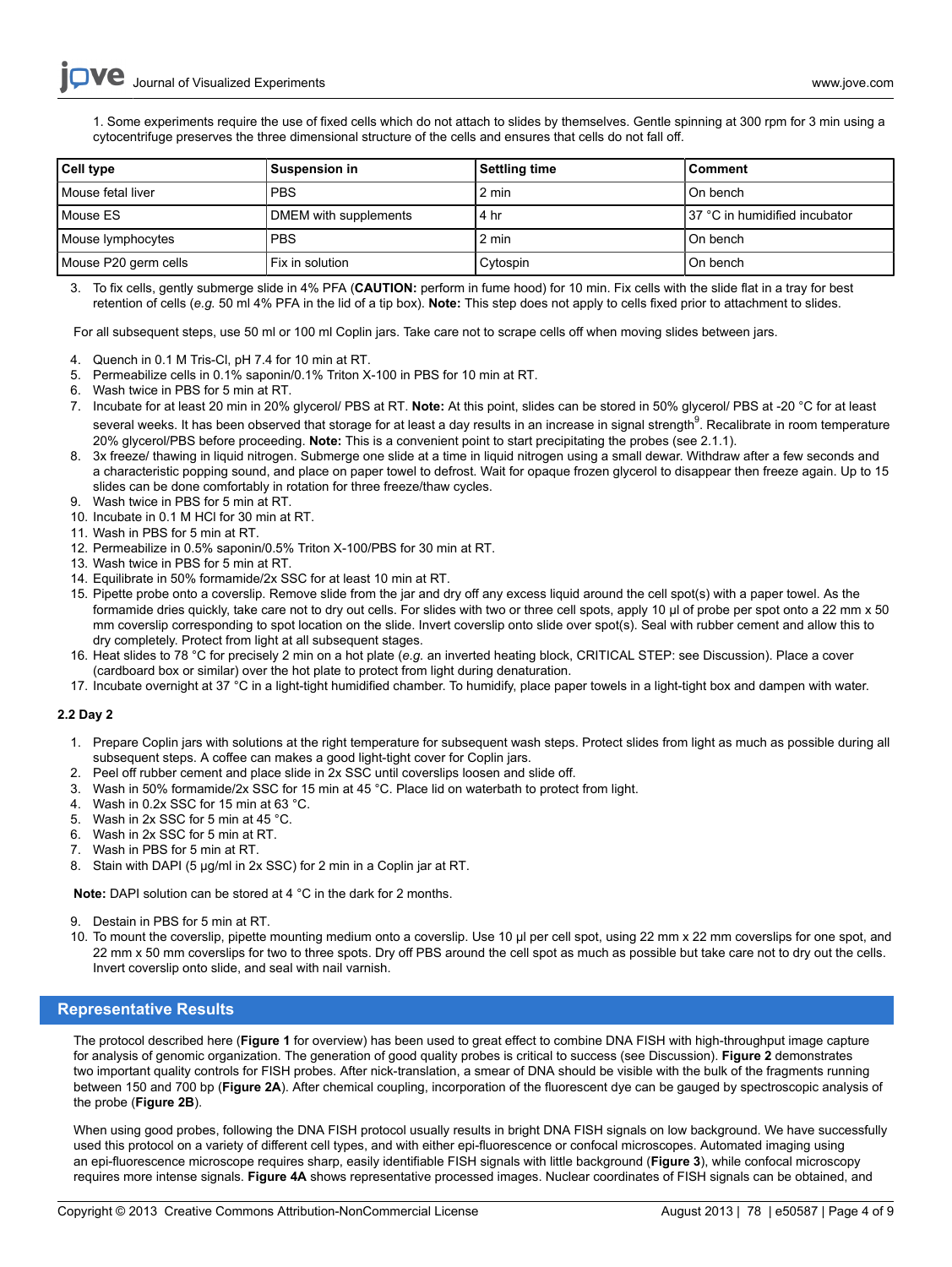1. Some experiments require the use of fixed cells which do not attach to slides by themselves. Gentle spinning at 300 rpm for 3 min using a cytocentrifuge preserves the three dimensional structure of the cells and ensures that cells do not fall off.

| Cell type            | Suspension in         | <b>Settling time</b> | Comment                        |
|----------------------|-----------------------|----------------------|--------------------------------|
| l Mouse fetal liver  | <b>PBS</b>            | 2 min                | l On bench                     |
| l Mouse ES           | DMEM with supplements | 4 hr                 | 137 °C in humidified incubator |
| Mouse lymphocytes    | <b>PBS</b>            | 2 min                | l On bench                     |
| Mouse P20 germ cells | Fix in solution       | Cytospin             | l On bench                     |

3. To fix cells, gently submerge slide in 4% PFA (**CAUTION:** perform in fume hood) for 10 min. Fix cells with the slide flat in a tray for best retention of cells (*e.g.* 50 ml 4% PFA in the lid of a tip box). **Note:** This step does not apply to cells fixed prior to attachment to slides.

For all subsequent steps, use 50 ml or 100 ml Coplin jars. Take care not to scrape cells off when moving slides between jars.

- 4. Quench in 0.1 M Tris-Cl, pH 7.4 for 10 min at RT.
- 5. Permeabilize cells in 0.1% saponin/0.1% Triton X-100 in PBS for 10 min at RT.
- 6. Wash twice in PBS for 5 min at RT.
- 7. Incubate for at least 20 min in 20% glycerol/ PBS at RT. **Note:** At this point, slides can be stored in 50% glycerol/ PBS at -20 °C for at least several weeks. It has been observed that storage for at least a day results in an increase in signal strength<sup>9</sup>. Recalibrate in room temperature 20% glycerol/PBS before proceeding. **Note:** This is a convenient point to start precipitating the probes (see 2.1.1).
- 8. 3x freeze/ thawing in liquid nitrogen. Submerge one slide at a time in liquid nitrogen using a small dewar. Withdraw after a few seconds and a characteristic popping sound, and place on paper towel to defrost. Wait for opaque frozen glycerol to disappear then freeze again. Up to 15 slides can be done comfortably in rotation for three freeze/thaw cycles.
- 9. Wash twice in PBS for 5 min at RT.
- 10. Incubate in 0.1 M HCl for 30 min at RT.
- 11. Wash in PBS for 5 min at RT.
- 12. Permeabilize in 0.5% saponin/0.5% Triton X-100/PBS for 30 min at RT.
- 13. Wash twice in PBS for 5 min at RT.
- 14. Equilibrate in 50% formamide/2x SSC for at least 10 min at RT.
- 15. Pipette probe onto a coverslip. Remove slide from the jar and dry off any excess liquid around the cell spot(s) with a paper towel. As the formamide dries quickly, take care not to dry out cells. For slides with two or three cell spots, apply 10 μl of probe per spot onto a 22 mm x 50 mm coverslip corresponding to spot location on the slide. Invert coverslip onto slide over spot(s). Seal with rubber cement and allow this to dry completely. Protect from light at all subsequent stages.
- 16. Heat slides to 78 °C for precisely 2 min on a hot plate (*e.g.* an inverted heating block, CRITICAL STEP: see Discussion). Place a cover (cardboard box or similar) over the hot plate to protect from light during denaturation.
- 17. Incubate overnight at 37 °C in a light-tight humidified chamber. To humidify, place paper towels in a light-tight box and dampen with water.

### **2.2 Day 2**

- 1. Prepare Coplin jars with solutions at the right temperature for subsequent wash steps. Protect slides from light as much as possible during all subsequent steps. A coffee can makes a good light-tight cover for Coplin jars.
- 2. Peel off rubber cement and place slide in 2x SSC until coverslips loosen and slide off.
- 3. Wash in 50% formamide/2x SSC for 15 min at 45 °C. Place lid on waterbath to protect from light.
- 4. Wash in 0.2x SSC for 15 min at 63 °C.
- 5. Wash in 2x SSC for 5 min at 45 °C.
- 6. Wash in 2x SSC for 5 min at RT.
- 7. Wash in PBS for 5 min at RT.
- 8. Stain with DAPI (5 μg/ml in 2x SSC) for 2 min in a Coplin jar at RT.

**Note:** DAPI solution can be stored at 4 °C in the dark for 2 months.

- 9. Destain in PBS for 5 min at RT.
- 10. To mount the coverslip, pipette mounting medium onto a coverslip. Use 10 μl per cell spot, using 22 mm x 22 mm coverslips for one spot, and 22 mm x 50 mm coverslips for two to three spots. Dry off PBS around the cell spot as much as possible but take care not to dry out the cells. Invert coverslip onto slide, and seal with nail varnish.

# **Representative Results**

The protocol described here (**Figure 1** for overview) has been used to great effect to combine DNA FISH with high-throughput image capture for analysis of genomic organization. The generation of good quality probes is critical to success (see Discussion). **Figure 2** demonstrates two important quality controls for FISH probes. After nick-translation, a smear of DNA should be visible with the bulk of the fragments running between 150 and 700 bp (**Figure 2A**). After chemical coupling, incorporation of the fluorescent dye can be gauged by spectroscopic analysis of the probe (**Figure 2B**).

When using good probes, following the DNA FISH protocol usually results in bright DNA FISH signals on low background. We have successfully used this protocol on a variety of different cell types, and with either epi-fluorescence or confocal microscopes. Automated imaging using an epi-fluorescence microscope requires sharp, easily identifiable FISH signals with little background (**Figure 3**), while confocal microscopy requires more intense signals. **Figure 4A** shows representative processed images. Nuclear coordinates of FISH signals can be obtained, and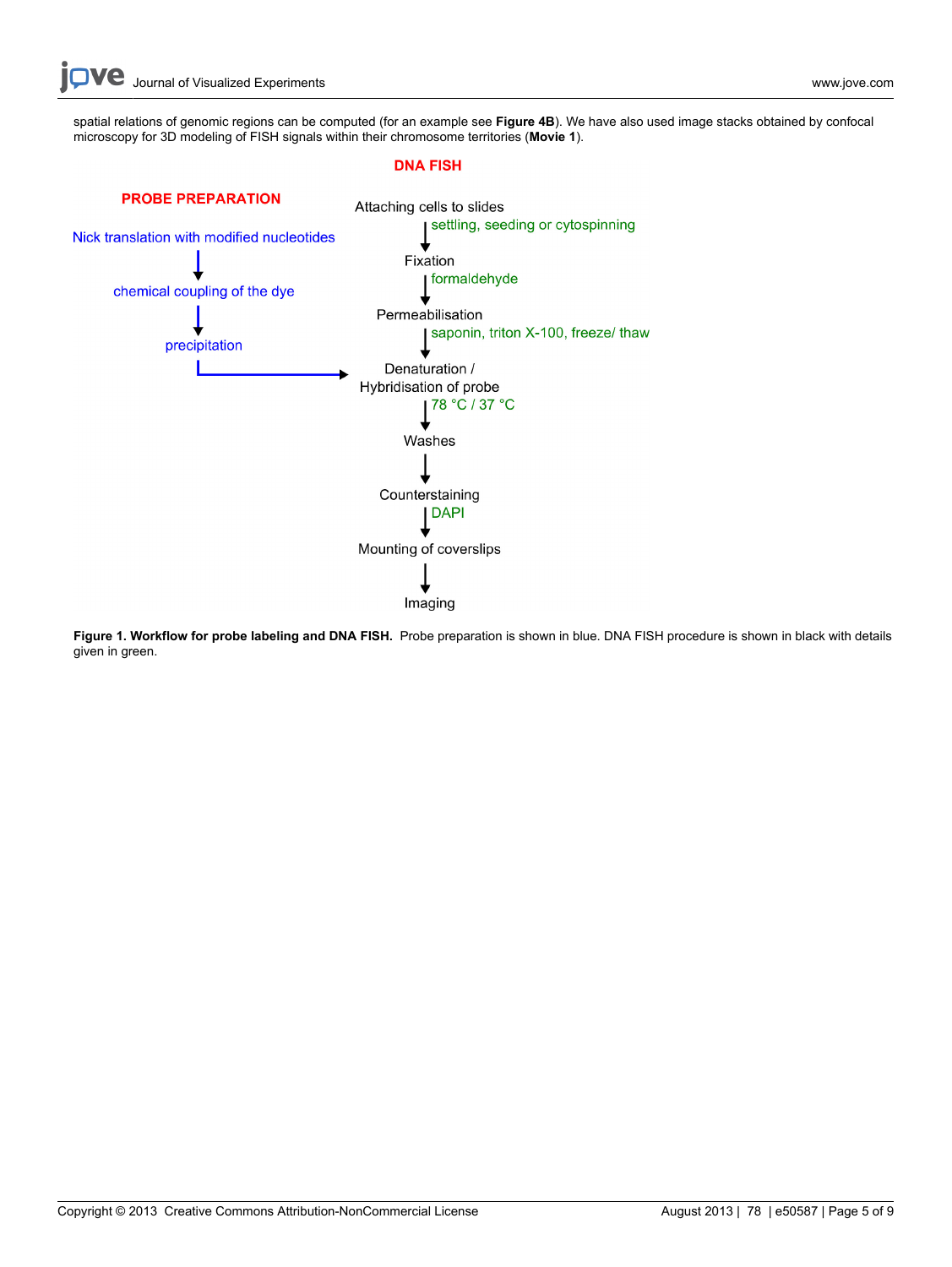e Journal of Visualized [Experiments](http://www.jove.com) [www.jove.com](http://www.jove.com)

spatial relations of genomic regions can be computed (for an example see **Figure 4B**). We have also used image stacks obtained by confocal microscopy for 3D modeling of FISH signals within their chromosome territories (**Movie 1**).

# **DNA FISH**



**Figure 1. Workflow for probe labeling and DNA FISH.** Probe preparation is shown in blue. DNA FISH procedure is shown in black with details given in green.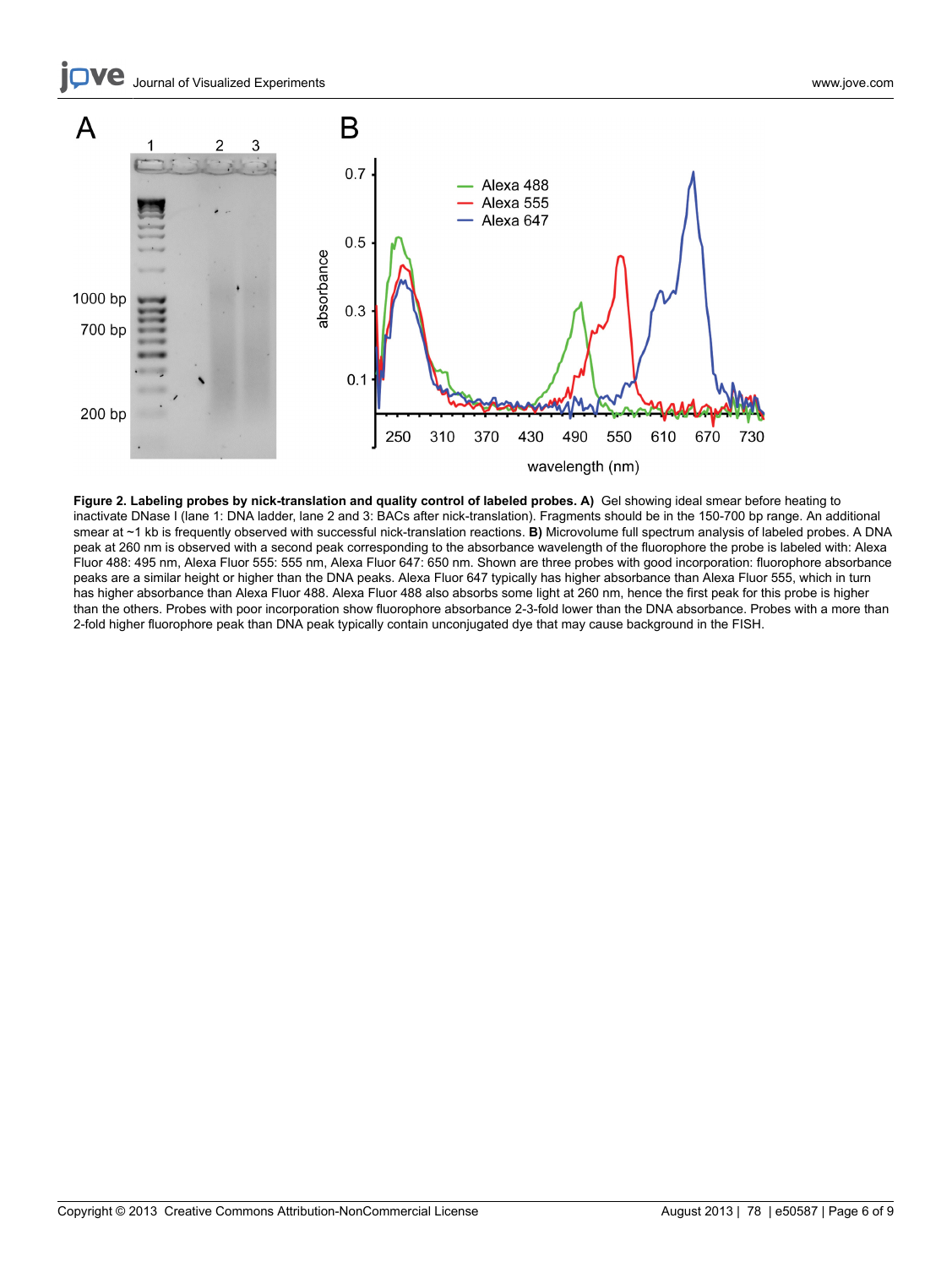



**Figure 2. Labeling probes by nick-translation and quality control of labeled probes. A)** Gel showing ideal smear before heating to inactivate DNase I (lane 1: DNA ladder, lane 2 and 3: BACs after nick-translation). Fragments should be in the 150-700 bp range. An additional smear at ~1 kb is frequently observed with successful nick-translation reactions. **B)** Microvolume full spectrum analysis of labeled probes. A DNA peak at 260 nm is observed with a second peak corresponding to the absorbance wavelength of the fluorophore the probe is labeled with: Alexa Fluor 488: 495 nm, Alexa Fluor 555: 555 nm, Alexa Fluor 647: 650 nm. Shown are three probes with good incorporation: fluorophore absorbance peaks are a similar height or higher than the DNA peaks. Alexa Fluor 647 typically has higher absorbance than Alexa Fluor 555, which in turn has higher absorbance than Alexa Fluor 488. Alexa Fluor 488 also absorbs some light at 260 nm, hence the first peak for this probe is higher than the others. Probes with poor incorporation show fluorophore absorbance 2-3-fold lower than the DNA absorbance. Probes with a more than 2-fold higher fluorophore peak than DNA peak typically contain unconjugated dye that may cause background in the FISH.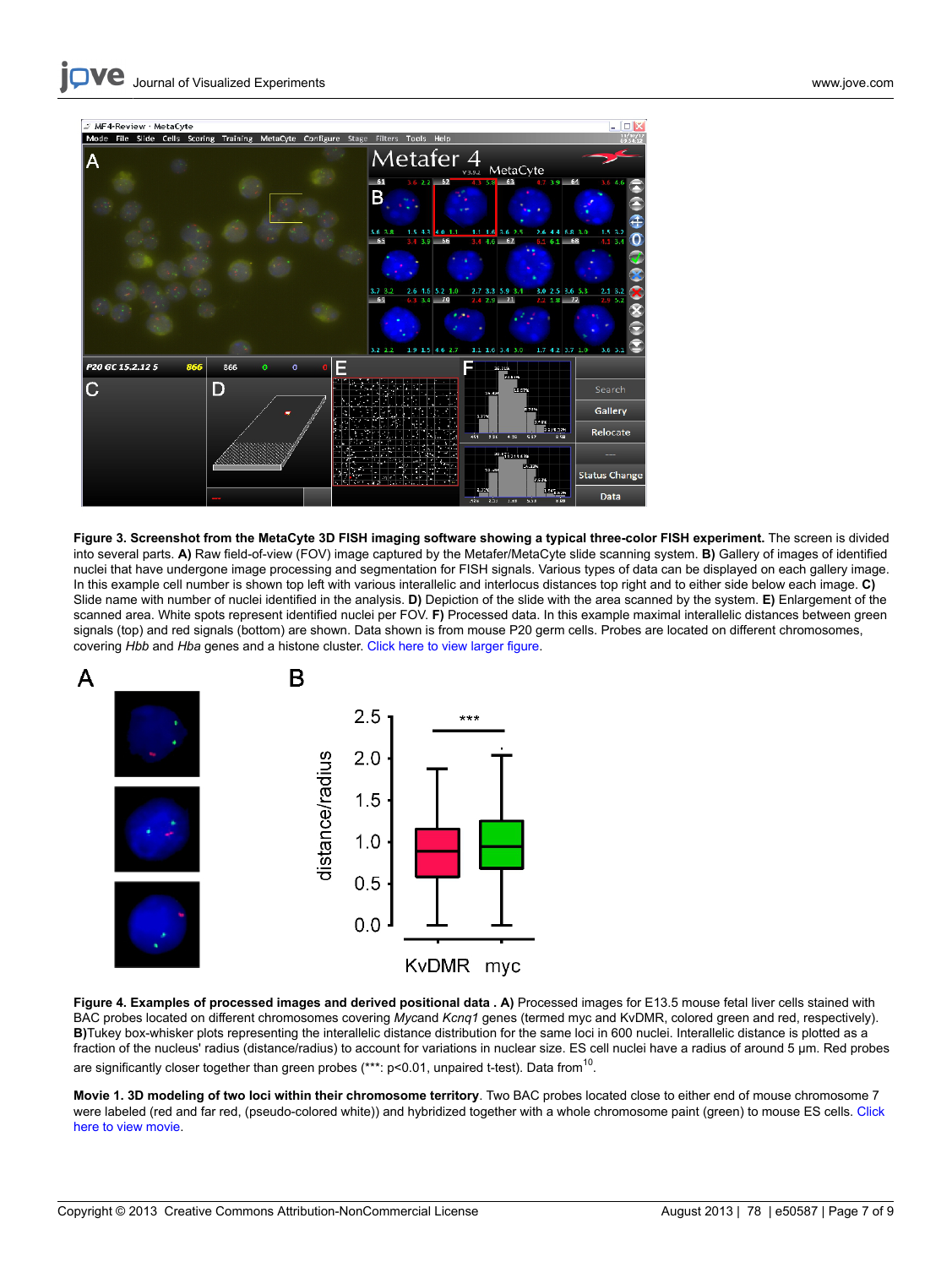

**Figure 3. Screenshot from the MetaCyte 3D FISH imaging software showing a typical three-color FISH experiment.** The screen is divided into several parts. **A)** Raw field-of-view (FOV) image captured by the Metafer/MetaCyte slide scanning system. **B)** Gallery of images of identified nuclei that have undergone image processing and segmentation for FISH signals. Various types of data can be displayed on each gallery image. In this example cell number is shown top left with various interallelic and interlocus distances top right and to either side below each image. **C)** Slide name with number of nuclei identified in the analysis. **D)** Depiction of the slide with the area scanned by the system. **E)** Enlargement of the scanned area. White spots represent identified nuclei per FOV. **F)** Processed data. In this example maximal interallelic distances between green signals (top) and red signals (bottom) are shown. Data shown is from mouse P20 germ cells. Probes are located on different chromosomes, covering *Hbb* and *Hba* genes and a histone cluster. [Click here to view larger figure](http://www.jove.com/files/ftp_upload/50587/50587fig3large.jpg).



Figure 4. Examples of processed images and derived positional data . A) Processed images for E13.5 mouse fetal liver cells stained with BAC probes located on different chromosomes covering *Myc*and *Kcnq1* genes (termed myc and KvDMR, colored green and red, respectively). **B)**Tukey box-whisker plots representing the interallelic distance distribution for the same loci in 600 nuclei. Interallelic distance is plotted as a fraction of the nucleus' radius (distance/radius) to account for variations in nuclear size. ES cell nuclei have a radius of around 5 μm. Red probes are significantly closer together than green probes (\*\*\*: p<0.01, unpaired t-test). Data from<sup>10</sup>.

**Movie 1. 3D modeling of two loci within their chromosome territory**. Two BAC probes located close to either end of mouse chromosome 7 were labeled (red and far red, (pseudo-colored white)) and hybridized together with a whole chromosome paint (green) to mouse ES cells. [Click](http://www.jove.com/files/ftp_upload/50587/50587movie1.mov) [here to view movie.](http://www.jove.com/files/ftp_upload/50587/50587movie1.mov)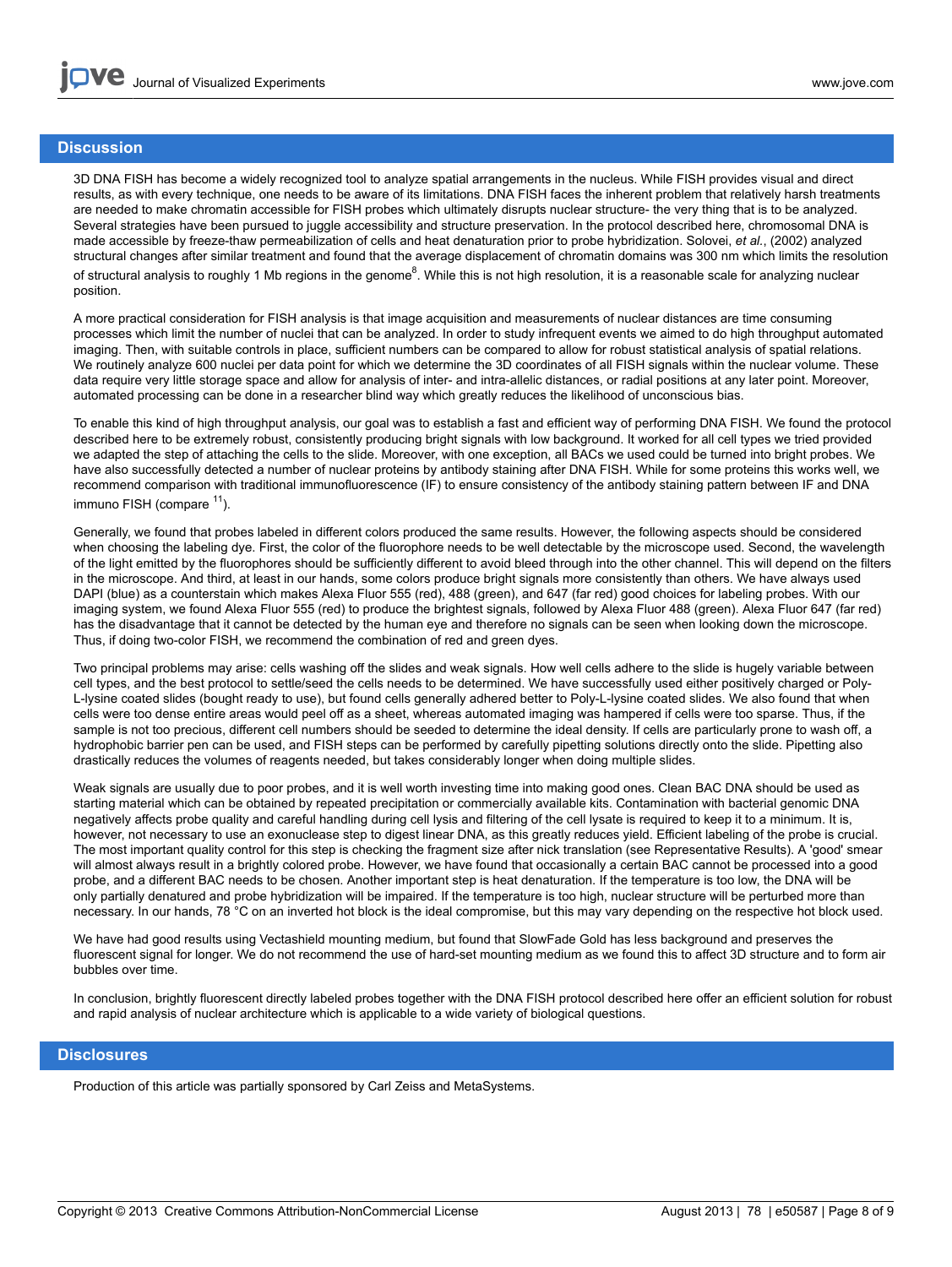## **Discussion**

3D DNA FISH has become a widely recognized tool to analyze spatial arrangements in the nucleus. While FISH provides visual and direct results, as with every technique, one needs to be aware of its limitations. DNA FISH faces the inherent problem that relatively harsh treatments are needed to make chromatin accessible for FISH probes which ultimately disrupts nuclear structure- the very thing that is to be analyzed. Several strategies have been pursued to juggle accessibility and structure preservation. In the protocol described here, chromosomal DNA is made accessible by freeze-thaw permeabilization of cells and heat denaturation prior to probe hybridization. Solovei, *et al.*, (2002) analyzed structural changes after similar treatment and found that the average displacement of chromatin domains was 300 nm which limits the resolution of structural analysis to roughly 1 Mb regions in the genome<sup>8</sup>. While this is not high resolution, it is a reasonable scale for analyzing nuclear position.

A more practical consideration for FISH analysis is that image acquisition and measurements of nuclear distances are time consuming processes which limit the number of nuclei that can be analyzed. In order to study infrequent events we aimed to do high throughput automated imaging. Then, with suitable controls in place, sufficient numbers can be compared to allow for robust statistical analysis of spatial relations. We routinely analyze 600 nuclei per data point for which we determine the 3D coordinates of all FISH signals within the nuclear volume. These data require very little storage space and allow for analysis of inter- and intra-allelic distances, or radial positions at any later point. Moreover, automated processing can be done in a researcher blind way which greatly reduces the likelihood of unconscious bias.

To enable this kind of high throughput analysis, our goal was to establish a fast and efficient way of performing DNA FISH. We found the protocol described here to be extremely robust, consistently producing bright signals with low background. It worked for all cell types we tried provided we adapted the step of attaching the cells to the slide. Moreover, with one exception, all BACs we used could be turned into bright probes. We have also successfully detected a number of nuclear proteins by antibody staining after DNA FISH. While for some proteins this works well, we recommend comparison with traditional immunofluorescence (IF) to ensure consistency of the antibody staining pattern between IF and DNA immuno FISH (compare  $11$ ).

Generally, we found that probes labeled in different colors produced the same results. However, the following aspects should be considered when choosing the labeling dye. First, the color of the fluorophore needs to be well detectable by the microscope used. Second, the wavelength of the light emitted by the fluorophores should be sufficiently different to avoid bleed through into the other channel. This will depend on the filters in the microscope. And third, at least in our hands, some colors produce bright signals more consistently than others. We have always used DAPI (blue) as a counterstain which makes Alexa Fluor 555 (red), 488 (green), and 647 (far red) good choices for labeling probes. With our imaging system, we found Alexa Fluor 555 (red) to produce the brightest signals, followed by Alexa Fluor 488 (green). Alexa Fluor 647 (far red) has the disadvantage that it cannot be detected by the human eye and therefore no signals can be seen when looking down the microscope. Thus, if doing two-color FISH, we recommend the combination of red and green dyes.

Two principal problems may arise: cells washing off the slides and weak signals. How well cells adhere to the slide is hugely variable between cell types, and the best protocol to settle/seed the cells needs to be determined. We have successfully used either positively charged or Poly-L-lysine coated slides (bought ready to use), but found cells generally adhered better to Poly-L-lysine coated slides. We also found that when cells were too dense entire areas would peel off as a sheet, whereas automated imaging was hampered if cells were too sparse. Thus, if the sample is not too precious, different cell numbers should be seeded to determine the ideal density. If cells are particularly prone to wash off, a hydrophobic barrier pen can be used, and FISH steps can be performed by carefully pipetting solutions directly onto the slide. Pipetting also drastically reduces the volumes of reagents needed, but takes considerably longer when doing multiple slides.

Weak signals are usually due to poor probes, and it is well worth investing time into making good ones. Clean BAC DNA should be used as starting material which can be obtained by repeated precipitation or commercially available kits. Contamination with bacterial genomic DNA negatively affects probe quality and careful handling during cell lysis and filtering of the cell lysate is required to keep it to a minimum. It is, however, not necessary to use an exonuclease step to digest linear DNA, as this greatly reduces yield. Efficient labeling of the probe is crucial. The most important quality control for this step is checking the fragment size after nick translation (see Representative Results). A 'good' smear will almost always result in a brightly colored probe. However, we have found that occasionally a certain BAC cannot be processed into a good probe, and a different BAC needs to be chosen. Another important step is heat denaturation. If the temperature is too low, the DNA will be only partially denatured and probe hybridization will be impaired. If the temperature is too high, nuclear structure will be perturbed more than necessary. In our hands, 78 °C on an inverted hot block is the ideal compromise, but this may vary depending on the respective hot block used.

We have had good results using Vectashield mounting medium, but found that SlowFade Gold has less background and preserves the fluorescent signal for longer. We do not recommend the use of hard-set mounting medium as we found this to affect 3D structure and to form air bubbles over time.

In conclusion, brightly fluorescent directly labeled probes together with the DNA FISH protocol described here offer an efficient solution for robust and rapid analysis of nuclear architecture which is applicable to a wide variety of biological questions.

# **Disclosures**

Production of this article was partially sponsored by Carl Zeiss and MetaSystems.